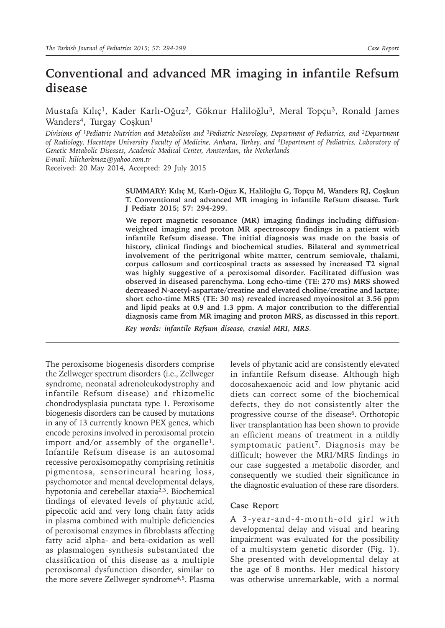# **Conventional and advanced MR imaging in infantile Refsum disease**

Mustafa Kılıç<sup>1</sup>, Kader Karlı-Oğuz<sup>2</sup>, Göknur Haliloğlu<sup>3</sup>, Meral Topçu<sup>3</sup>, Ronald James Wanders<sup>4</sup>, Turgay Coşkun<sup>1</sup>

*Divisions of 1Pediatric Nutrition and Metabolism and 3Pediatric Neurology, Department of Pediatrics, and 2Department of Radiology, Hacettepe University Faculty of Medicine, Ankara, Turkey, and 4Department of Pediatrics, Laboratory of Genetic Metabolic Diseases, Academic Medical Center, Amsterdam, the Netherlands*

*E-mail: kilickorkmaz@yahoo.com.tr*

Received: 20 May 2014, Accepted: 29 July 2015

**SUMMARY: Kılıç M, Karlı-Oğuz K, Haliloğlu G, Topçu M, Wanders RJ, Coşkun T. Conventional and advanced MR imaging in infantile Refsum disease. Turk J Pediatr 2015; 57: 294-299.**

**We report magnetic resonance (MR) imaging findings including diffusionweighted imaging and proton MR spectroscopy findings in a patient with infantile Refsum disease. The initial diagnosis was made on the basis of history, clinical findings and biochemical studies. Bilateral and symmetrical involvement of the peritrigonal white matter, centrum semiovale, thalami, corpus callosum and corticospinal tracts as assessed by increased T2 signal was highly suggestive of a peroxisomal disorder. Facilitated diffusion was observed in diseased parenchyma. Long echo-time (TE: 270 ms) MRS showed decreased N-acetyl-aspartate/creatine and elevated choline/creatine and lactate; short echo-time MRS (TE: 30 ms) revealed increased myoinositol at 3.56 ppm and lipid peaks at 0.9 and 1.3 ppm. A major contribution to the differential diagnosis came from MR imaging and proton MRS, as discussed in this report.**

*Key words: infantile Refsum disease, cranial MRI, MRS.*

The peroxisome biogenesis disorders comprise the Zellweger spectrum disorders (i.e., Zellweger syndrome, neonatal adrenoleukodystrophy and infantile Refsum disease) and rhizomelic chondrodysplasia punctata type 1. Peroxisome biogenesis disorders can be caused by mutations in any of 13 currently known PEX genes, which encode peroxins involved in peroxisomal protein import and/or assembly of the organelle<sup>1</sup>. Infantile Refsum disease is an autosomal recessive peroxisomopathy comprising retinitis pigmentosa, sensorineural hearing loss, psychomotor and mental developmental delays, hypotonia and cerebellar ataxia2,3. Biochemical findings of elevated levels of phytanic acid, pipecolic acid and very long chain fatty acids in plasma combined with multiple deficiencies of peroxisomal enzymes in fibroblasts affecting fatty acid alpha- and beta-oxidation as well as plasmalogen synthesis substantiated the classification of this disease as a multiple peroxisomal dysfunction disorder, similar to the more severe Zellweger syndrome4,5. Plasma

levels of phytanic acid are consistently elevated in infantile Refsum disease. Although high docosahexaenoic acid and low phytanic acid diets can correct some of the biochemical defects, they do not consistently alter the progressive course of the disease<sup>6</sup>. Orthotopic liver transplantation has been shown to provide an efficient means of treatment in a mildly symptomatic patient<sup>7</sup>. Diagnosis may be difficult; however the MRI/MRS findings in our case suggested a metabolic disorder, and consequently we studied their significance in the diagnostic evaluation of these rare disorders.

#### **Case Report**

A 3-year-and-4-month- old girl with developmental delay and visual and hearing impairment was evaluated for the possibility of a multisystem genetic disorder (Fig. 1). She presented with developmental delay at the age of 8 months. Her medical history was otherwise unremarkable, with a normal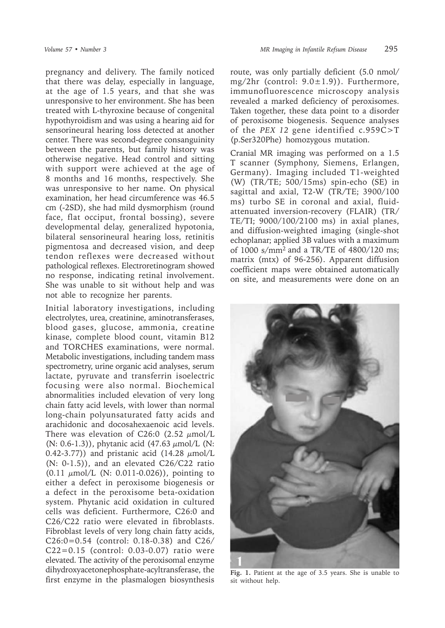pregnancy and delivery. The family noticed that there was delay, especially in language, at the age of 1.5 years, and that she was unresponsive to her environment. She has been treated with L-thyroxine because of congenital hypothyroidism and was using a hearing aid for sensorineural hearing loss detected at another center. There was second-degree consanguinity between the parents, but family history was otherwise negative. Head control and sitting with support were achieved at the age of 8 months and 16 months, respectively. She was unresponsive to her name. On physical examination, her head circumference was 46.5 cm (-2SD), she had mild dysmorphism (round face, flat occiput, frontal bossing), severe developmental delay, generalized hypotonia, bilateral sensorineural hearing loss, retinitis pigmentosa and decreased vision, and deep tendon reflexes were decreased without pathological reflexes. Electroretinogram showed no response, indicating retinal involvement.

She was unable to sit without help and was

not able to recognize her parents.

Initial laboratory investigations, including electrolytes, urea, creatinine, aminotransferases, blood gases, glucose, ammonia, creatine kinase, complete blood count, vitamin B12 and TORCHES examinations, were normal. Metabolic investigations, including tandem mass spectrometry, urine organic acid analyses, serum lactate, pyruvate and transferrin isoelectric focusing were also normal. Biochemical abnormalities included elevation of very long chain fatty acid levels, with lower than normal long-chain polyunsaturated fatty acids and arachidonic and docosahexaenoic acid levels. There was elevation of C26:0 (2.52  $\mu$ mol/L (N: 0.6-1.3)), phytanic acid  $(47.63 \mu \text{mol/L}$  (N: 0.42-3.77)) and pristanic acid  $(14.28 \mu mol/L)$ (N: 0-1.5)), and an elevated C26/C22 ratio  $(0.11 \mu \text{mol/L}$  (N: 0.011-0.026)), pointing to either a defect in peroxisome biogenesis or a defect in the peroxisome beta-oxidation system. Phytanic acid oxidation in cultured cells was deficient. Furthermore, C26:0 and C26/C22 ratio were elevated in fibroblasts. Fibroblast levels of very long chain fatty acids, C26:0=0.54 (control: 0.18-0.38) and C26/ C22=0.15 (control: 0.03-0.07) ratio were elevated. The activity of the peroxisomal enzyme dihydroxyacetonephosphate-acyltransferase, the first enzyme in the plasmalogen biosynthesis

route, was only partially deficient (5.0 nmol/ mg/2hr (control: 9.0±1.9)). Furthermore, immunofluorescence microscopy analysis revealed a marked deficiency of peroxisomes. Taken together, these data point to a disorder of peroxisome biogenesis. Sequence analyses of the *PEX 12* gene identified c.959C>T (p.Ser320Phe) homozygous mutation.

Cranial MR imaging was performed on a 1.5 T scanner (Symphony, Siemens, Erlangen, Germany). Imaging included T1-weighted (W) (TR/TE; 500/15ms) spin-echo (SE) in sagittal and axial, T2-W (TR/TE; 3900/100 ms) turbo SE in coronal and axial, fluidattenuated inversion-recovery (FLAIR) (TR/ TE/TI; 9000/100/2100 ms) in axial planes, and diffusion-weighted imaging (single-shot echoplanar; applied 3B values with a maximum of 1000 s/mm<sup>2</sup>and a TR/TE of 4800/120 ms; matrix (mtx) of 96-256). Apparent diffusion coefficient maps were obtained automatically on site, and measurements were done on an



**Fig. 1.** Patient at the age of 3.5 years. She is unable to sit without help.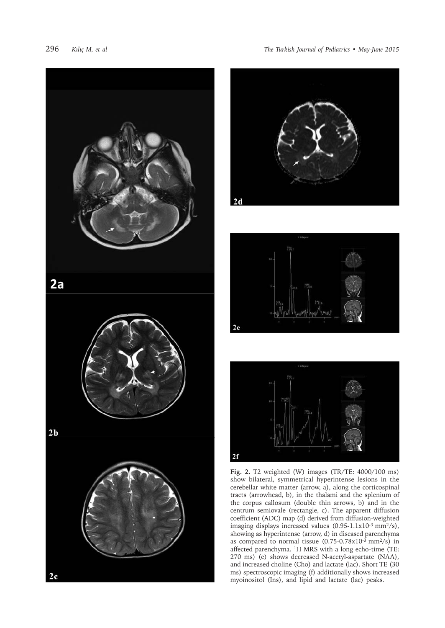

## 296 *Kılıç M, et al The Turkish Journal of Pediatrics • May-June 2015*







**Fig. 2.** T2 weighted (W) images (TR/TE: 4000/100 ms) show bilateral, symmetrical hyperintense lesions in the cerebellar white matter (arrow, a), along the corticospinal tracts (arrowhead, b), in the thalami and the splenium of the corpus callosum (double thin arrows, b) and in the centrum semiovale (rectangle, c). The apparent diffusion coefficient (ADC) map (d) derived from diffusion-weighted imaging displays increased values  $(0.95-1.1x10^{-3} \text{ mm}^2/\text{s})$ , showing as hyperintense (arrow, d) in diseased parenchyma as compared to normal tissue  $(0.75-0.78x10^{-3} \text{ mm}^2/\text{s})$  in affected parenchyma. <sup>1</sup>H MRS with a long echo-time (TE: 270 ms) (e) shows decreased N-acetyl-aspartate (NAA), and increased choline (Cho) and lactate (lac). Short TE (30 ms) spectroscopic imaging (f) additionally shows increased myoinositol (Ins), and lipid and lactate (lac) peaks.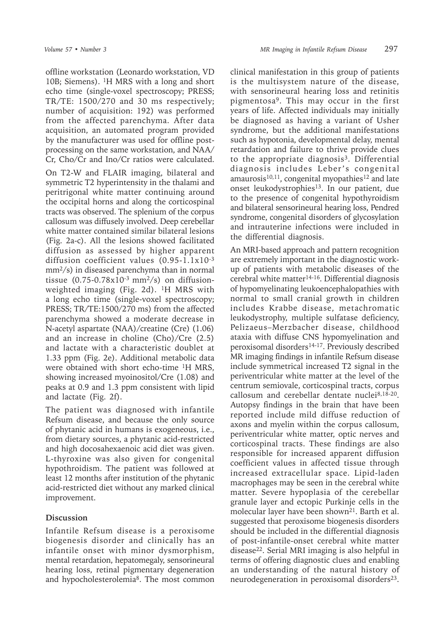offline workstation (Leonardo workstation, VD 10B; Siemens). <sup>1</sup>H MRS with a long and short echo time (single-voxel spectroscopy; PRESS; TR/TE: 1500/270 and 30 ms respectively; number of acquisition: 192) was performed from the affected parenchyma. After data acquisition, an automated program provided by the manufacturer was used for offline postprocessing on the same workstation, and NAA/ Cr, Cho/Cr and Ino/Cr ratios were calculated.

On T2-W and FLAIR imaging, bilateral and symmetric T2 hyperintensity in the thalami and peritrigonal white matter continuing around the occipital horns and along the corticospinal tracts was observed. The splenium of the corpus callosum was diffusely involved. Deep cerebellar white matter contained similar bilateral lesions (Fig. 2a-c). All the lesions showed facilitated diffusion as assessed by higher apparent diffusion coefficient values (0.95-1.1x10-3 mm2/s) in diseased parenchyma than in normal tissue  $(0.75-0.78x10^{-3}$  mm<sup>2</sup>/s) on diffusionweighted imaging (Fig. 2d).  $H$  MRS with a long echo time (single-voxel spectroscopy; PRESS; TR/TE:1500/270 ms) from the affected parenchyma showed a moderate decrease in N-acetyl aspartate (NAA)/creatine (Cre) (1.06) and an increase in choline (Cho)/Cre (2.5) and lactate with a characteristic doublet at 1.33 ppm (Fig. 2e). Additional metabolic data were obtained with short echo-time 1H MRS, showing increased myoinositol/Cre (1.08) and peaks at 0.9 and 1.3 ppm consistent with lipid and lactate (Fig. 2f).

The patient was diagnosed with infantile Refsum disease, and because the only source of phytanic acid in humans is exogeneous, i.e., from dietary sources, a phytanic acid-restricted and high docosahexaenoic acid diet was given. L-thyroxine was also given for congenital hypothroidism. The patient was followed at least 12 months after institution of the phytanic acid-restricted diet without any marked clinical improvement.

#### **Discussion**

Infantile Refsum disease is a peroxisome biogenesis disorder and clinically has an infantile onset with minor dysmorphism, mental retardation, hepatomegaly, sensorineural hearing loss, retinal pigmentary degeneration and hypocholesterolemia<sup>8</sup>. The most common

clinical manifestation in this group of patients is the multisystem nature of the disease, with sensorineural hearing loss and retinitis pigmentosa9. This may occur in the first years of life. Affected individuals may initially be diagnosed as having a variant of Usher syndrome, but the additional manifestations such as hypotonia, developmental delay, mental retardation and failure to thrive provide clues to the appropriate diagnosis<sup>3</sup>. Differential diagnosis includes Leber 's congenital amaurosis<sup>10,11</sup>, congenital myopathies<sup>12</sup> and late onset leukodystrophies<sup>13</sup>. In our patient, due to the presence of congenital hypothyroidism and bilateral sensorineural hearing loss, Pendred syndrome, congenital disorders of glycosylation and intrauterine infections were included in the differential diagnosis.

An MRI-based approach and pattern recognition are extremely important in the diagnostic workup of patients with metabolic diseases of the cerebral white matter<sup>14-16</sup>. Differential diagnosis of hypomyelinating leukoencephalopathies with normal to small cranial growth in children includes Krabbe disease, metachromatic leukodystrophy, multiple sulfatase deficiency, Pelizaeus–Merzbacher disease, childhood ataxia with diffuse CNS hypomyelination and peroxisomal disorders14-17. Previously described MR imaging findings in infantile Refsum disease include symmetrical increased T2 signal in the periventricular white matter at the level of the centrum semiovale, corticospinal tracts, corpus callosum and cerebellar dentate nuclei8,18-20. Autopsy findings in the brain that have been reported include mild diffuse reduction of axons and myelin within the corpus callosum, periventricular white matter, optic nerves and corticospinal tracts. These findings are also responsible for increased apparent diffusion coefficient values in affected tissue through increased extracellular space. Lipid-laden macrophages may be seen in the cerebral white matter. Severe hypoplasia of the cerebellar granule layer and ectopic Purkinje cells in the molecular layer have been shown<sup>21</sup>. Barth et al. suggested that peroxisome biogenesis disorders should be included in the differential diagnosis of post-infantile-onset cerebral white matter disease22. Serial MRI imaging is also helpful in terms of offering diagnostic clues and enabling an understanding of the natural history of neurodegeneration in peroxisomal disorders<sup>23</sup>.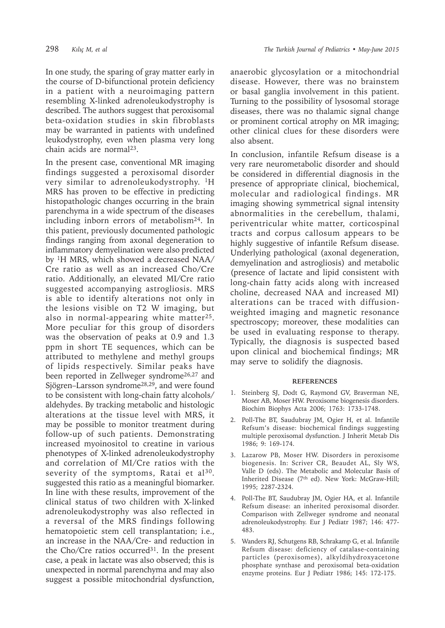In one study, the sparing of gray matter early in the course of D-bifunctional protein deficiency in a patient with a neuroimaging pattern resembling X-linked adrenoleukodystrophy is described. The authors suggest that peroxisomal beta-oxidation studies in skin fibroblasts may be warranted in patients with undefined leukodystrophy, even when plasma very long chain acids are normal<sup>23</sup>.

In the present case, conventional MR imaging findings suggested a peroxisomal disorder very similar to adrenoleukodystrophy.  ${}^{1}H$ MRS has proven to be effective in predicting histopathologic changes occurring in the brain parenchyma in a wide spectrum of the diseases including inborn errors of metabolism $24$ . In this patient, previously documented pathologic findings ranging from axonal degeneration to inflammatory demyelination were also predicted by <sup>1</sup>H MRS, which showed a decreased NAA/ Cre ratio as well as an increased Cho/Cre ratio. Additionally, an elevated MI/Cre ratio suggested accompanying astrogliosis. MRS is able to identify alterations not only in the lesions visible on T2 W imaging, but also in normal-appearing white matter25. More peculiar for this group of disorders was the observation of peaks at 0.9 and 1.3 ppm in short TE sequences, which can be attributed to methylene and methyl groups of lipids respectively. Similar peaks have been reported in Zellweger syndrome<sup>26,27</sup> and Sjögren–Larsson syndrome28,29, and were found to be consistent with long-chain fatty alcohols/ aldehydes. By tracking metabolic and histologic alterations at the tissue level with MRS, it may be possible to monitor treatment during follow-up of such patients. Demonstrating increased myoinositol to creatine in various phenotypes of X-linked adrenoleukodystrophy and correlation of MI/Cre ratios with the severity of the symptoms, Ratai et al<sup>30</sup>. suggested this ratio as a meaningful biomarker. In line with these results, improvement of the clinical status of two children with X-linked adrenoleukodystrophy was also reflected in a reversal of the MRS findings following hematopoietic stem cell transplantation; i.e., an increase in the NAA/Cre- and reduction in the Cho/Cre ratios occurred<sup>31</sup>. In the present case, a peak in lactate was also observed; this is unexpected in normal parenchyma and may also suggest a possible mitochondrial dysfunction,

anaerobic glycosylation or a mitochondrial disease. However, there was no brainstem or basal ganglia involvement in this patient. Turning to the possibility of lysosomal storage diseases, there was no thalamic signal change or prominent cortical atrophy on MR imaging; other clinical clues for these disorders were also absent.

In conclusion, infantile Refsum disease is a very rare neurometabolic disorder and should be considered in differential diagnosis in the presence of appropriate clinical, biochemical, molecular and radiological findings. MR imaging showing symmetrical signal intensity abnormalities in the cerebellum, thalami, periventricular white matter, corticospinal tracts and corpus callosum appears to be highly suggestive of infantile Refsum disease. Underlying pathological (axonal degeneration, demyelination and astrogliosis) and metabolic (presence of lactate and lipid consistent with long-chain fatty acids along with increased choline, decreased NAA and increased MI) alterations can be traced with diffusionweighted imaging and magnetic resonance spectroscopy; moreover, these modalities can be used in evaluating response to therapy. Typically, the diagnosis is suspected based upon clinical and biochemical findings; MR may serve to solidify the diagnosis.

### **REFERENCES**

- 1. Steinberg SJ, Dodt G, Raymond GV, Braverman NE, Moser AB, Moser HW. Peroxisome biogenesis disorders. Biochim Biophys Acta 2006; 1763: 1733-1748.
- 2. Poll-The BT, Saudubray JM, Ogier H, et al. Infantile Refsum's disease: biochemical findings suggesting multiple peroxisomal dysfunction. J Inherit Metab Dis 1986; 9: 169-174.
- 3. Lazarow PB, Moser HW. Disorders in peroxisome biogenesis. In: Scriver CR, Beaudet AL, Sly WS, Valle D (eds). The Metabolic and Molecular Basis of Inherited Disease (7<sup>th</sup> ed). New York: McGraw-Hill; 1995; 2287-2324.
- 4. Poll-The BT, Saudubray JM, Ogier HA, et al. Infantile Refsum disease: an inherited peroxisomal disorder. Comparison with Zellweger syndrome and neonatal adrenoleukodystrophy. Eur J Pediatr 1987; 146: 477- 483.
- 5. Wanders RJ, Schutgens RB, Schrakamp G, et al. Infantile Refsum disease: deficiency of catalase-containing particles (peroxisomes), alkyldihydroxyacetone phosphate synthase and peroxisomal beta-oxidation enzyme proteins. Eur J Pediatr 1986; 145: 172-175.